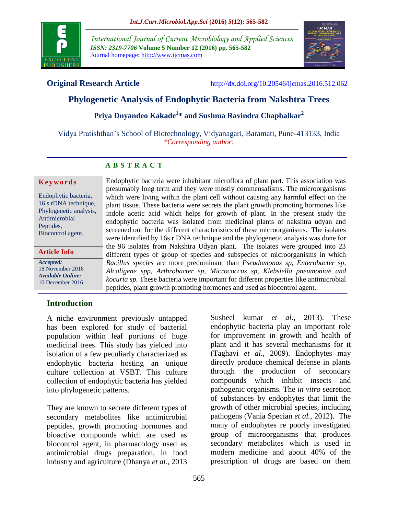

*International Journal of Current Microbiology and Applied Sciences ISSN: 2319-7706* **Volume 5 Number 12 (2016) pp. 565-582** Journal homepage: http://www.ijcmas.com



**Original Research Article** <http://dx.doi.org/10.20546/ijcmas.2016.512.062>

# **Phylogenetic Analysis of Endophytic Bacteria from Nakshtra Trees**

**Priya Dnyandeo Kakade<sup>1</sup> \* and Sushma Ravindra Chaphalkar<sup>2</sup>**

Vidya Pratishthan's School of Biotechnology, Vidyanagari, Baramati, Pune-413133, India *\*Corresponding author:*

# **A B S T R A C T**

#### **K e y w o r d s**

Endophytic bacteria, 16 s rDNA technique, Phylogenetic analysis, Antimicrobial Peptides, Biocontrol agent.

#### **Article Info**

*Accepted:*  18 November 2016 *Available Online:* 10 December 2016

presumably long term and they were mostly commensalisms. The microorganisms which were living within the plant cell without causing any harmful effect on the plant tissue. These bacteria were secrets the plant growth promoting hormones like indole acetic acid which helps for growth of plant. In the present study the endophytic bacteria was isolated from medicinal plants of nakshtra udyan and screened out for the different characteristics of these microorganisms. The isolates were identified by 16s r DNA technique and the phylogenetic analysis was done for the 96 isolates from Nakshtra Udyan plant. The isolates were grouped into 23 different types of group of species and subspecies of microorganisms in which *Bacillus species* are more predominant than *Pseudomonas sp, Enterobacter sp, Alcaligene spp, Arthrobacter sp, Micrococcus sp, Klebsiella pneumoniae and kocuria sp.* These bacteria were important for different properties like antimicrobial peptides, plant growth promoting hormones and used as biocontrol agent.

Endophytic bacteria were inhabitant microflora of plant part. This association was

# **Introduction**

A niche environment previously untapped has been explored for study of bacterial population within leaf portions of huge medicinal trees. This study has yielded into isolation of a few peculiarly characterized as endophytic bacteria hosting an unique culture collection at VSBT. This culture collection of endophytic bacteria has yielded into phylogenetic patterns.

They are known to secrete different types of secondary metabolites like antimicrobial peptides, growth promoting hormones and bioactive compounds which are used as biocontrol agent, in pharmacology used as antimicrobial drugs preparation, in food industry and agriculture (Dhanya *et al.,* 2013

endophytic bacteria play an important role for improvement in growth and health of plant and it has several mechanisms for it (Taghavi *et al.,* 2009). Endophytes may directly produce chemical defense in plants through the production of secondary compounds which inhibit insects and pathogenic organisms. The *in vitro* secretion of substances by endophytes that limit the growth of other microbial species, including pathogens (Vania Specian *et al.,* 2012). The many of endophytes re poorly investigated group of microorganisms that produces secondary metabolites which is used in modern medicine and about 40% of the prescription of drugs are based on them

Susheel kumar *et al.,* 2013). These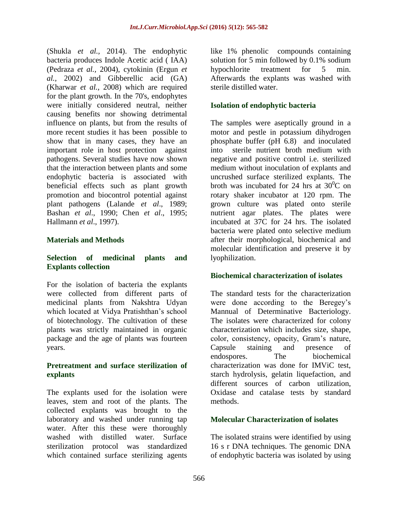(Shukla *et al.,* 2014). The endophytic bacteria produces Indole Acetic acid ( IAA) (Pedraza *et al.,* 2004), cytokinin (Ergun *et al.,* 2002) and Gibberellic acid (GA) (Kharwar *et al.*, 2008) which are required for the plant growth. In the 70's, endophytes were initially considered neutral, neither causing benefits nor showing detrimental influence on plants, but from the results of more recent studies it has been possible to show that in many cases, they have an important role in host protection against pathogens. Several studies have now shown that the interaction between plants and some endophytic bacteria is associated with beneficial effects such as plant growth promotion and biocontrol potential against plant pathogens (Lalande *et al*., 1989; Bashan *et al*., 1990; Chen *et al*., 1995; Hallmann *et al*., 1997).

#### **Materials and Methods**

#### **Selection of medicinal plants and Explants collection**

For the isolation of bacteria the explants were collected from different parts of medicinal plants from Nakshtra Udyan which located at Vidya Pratishthan's school of biotechnology. The cultivation of these plants was strictly maintained in organic package and the age of plants was fourteen years.

#### **Pretreatment and surface sterilization of explants**

The explants used for the isolation were leaves, stem and root of the plants. The collected explants was brought to the laboratory and washed under running tap water. After this these were thoroughly washed with distilled water. Surface sterilization protocol was standardized which contained surface sterilizing agents

like 1% phenolic compounds containing solution for 5 min followed by 0.1% sodium hypochlorite treatment for 5 min. Afterwards the explants was washed with sterile distilled water.

# **Isolation of endophytic bacteria**

The samples were aseptically ground in a motor and pestle in potassium dihydrogen phosphate buffer (pH 6.8) and inoculated into sterile nutrient broth medium with negative and positive control i.e. sterilized medium without inoculation of explants and uncrushed surface sterilized explants. The broth was incubated for 24 hrs at  $30^0$ C on rotary shaker incubator at 120 rpm. The grown culture was plated onto sterile nutrient agar plates. The plates were incubated at 37C for 24 hrs. The isolated bacteria were plated onto selective medium after their morphological, biochemical and molecular identification and preserve it by lyophilization.

#### **Biochemical characterization of isolates**

The standard tests for the characterization were done according to the Beregey's Mannual of Determinative Bacteriology. The isolates were characterized for colony characterization which includes size, shape, color, consistency, opacity, Gram's nature, Capsule staining and presence of endospores. The biochemical characterization was done for IMViC test, starch hydrolysis, gelatin liquefaction, and different sources of carbon utilization, Oxidase and catalase tests by standard methods.

#### **Molecular Characterization of isolates**

The isolated strains were identified by using 16 s r DNA techniques. The genomic DNA of endophytic bacteria was isolated by using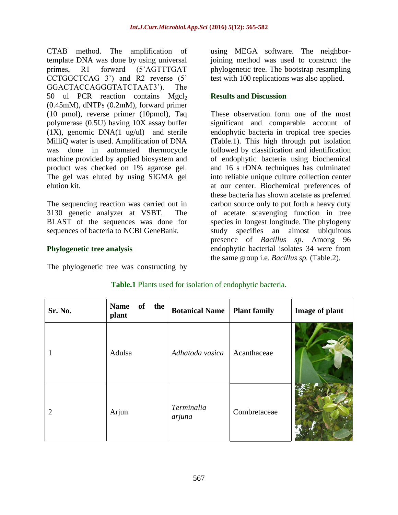CTAB method. The amplification of template DNA was done by using universal primes, R1 forward (5'AGTTTGAT CCTGGCTCAG 3') and R2 reverse (5' GGACTACCAGGGTATCTAAT3'). The 50 ul PCR reaction contains  $Mgcl<sub>2</sub>$ (0.45mM), dNTPs (0.2mM), forward primer (10 pmol), reverse primer (10pmol), Taq polymerase (0.5U) having 10X assay buffer (1X), genomic DNA(1 ug/ul) and sterile MilliQ water is used. Amplification of DNA was done in automated thermocycle machine provided by applied biosystem and product was checked on 1% agarose gel. The gel was eluted by using SIGMA gel elution kit.

The sequencing reaction was carried out in 3130 genetic analyzer at VSBT. The BLAST of the sequences was done for sequences of bacteria to NCBI GeneBank.

**Phylogenetic tree analysis**

The phylogenetic tree was constructing by

using MEGA software. The neighborjoining method was used to construct the phylogenetic tree. The bootstrap resampling test with 100 replications was also applied.

# **Results and Discussion**

These observation form one of the most significant and comparable account of endophytic bacteria in tropical tree species (Table.1). This high through put isolation followed by classification and identification of endophytic bacteria using biochemical and 16 s rDNA techniques has culminated into reliable unique culture collection center at our center. Biochemical preferences of these bacteria has shown acetate as preferred carbon source only to put forth a heavy duty of acetate scavenging function in tree species in longest longitude. The phylogeny study specifies an almost ubiquitous presence of *Bacillus sp*. Among 96 endophytic bacterial isolates 34 were from the same group i.e. *Bacillus sp.* (Table.2).

| Sr. No.        | of the<br><b>Name</b><br>plant | <b>Botanical Name</b> | <b>Plant family</b> | Image of plant |
|----------------|--------------------------------|-----------------------|---------------------|----------------|
|                | Adulsa                         | Adhatoda vasica       | Acanthaceae         |                |
| $\overline{2}$ | Arjun                          | Terminalia<br>arjuna  | Combretaceae        |                |

# **Table.1** Plants used for isolation of endophytic bacteria.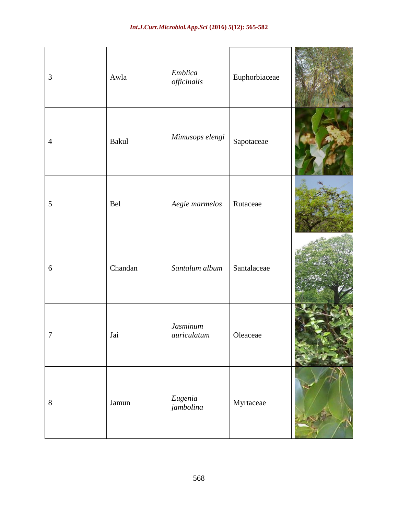| $\mathfrak{Z}$   | Awla         | Emblica<br>$\it official$ | Euphorbiaceae |  |
|------------------|--------------|---------------------------|---------------|--|
| $\overline{4}$   | <b>Bakul</b> | Mimusops elengi           | Sapotaceae    |  |
| 5                | Bel          | Aegie marmelos            | Rutaceae      |  |
| $\boldsymbol{6}$ | Chandan      | Santalum album            | Santalaceae   |  |
| $\tau$           | Jai          | Jasminum<br>auriculatum   | Oleaceae      |  |
| $8\,$            | Jamun        | Eugenia<br>jambolina      | Myrtaceae     |  |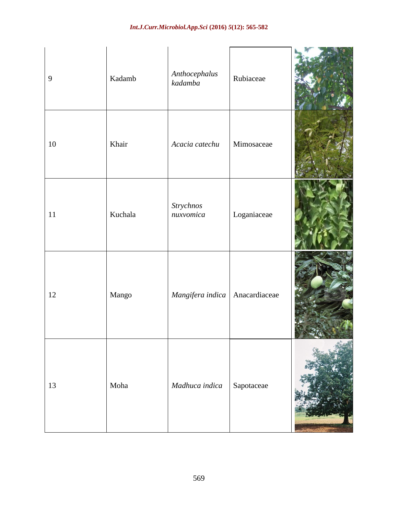| $\mathbf{9}$ | Kadamb  | Anthocephalus<br>kadamba | Rubiaceae     |  |
|--------------|---------|--------------------------|---------------|--|
| $10\,$       | Khair   | Acacia catechu           | Mimosaceae    |  |
| $11\,$       | Kuchala | Strychnos<br>nuxvomica   | Loganiaceae   |  |
| 12           | Mango   | Mangifera indica         | Anacardiaceae |  |
| 13           | Moha    | Madhuca indica           | Sapotaceae    |  |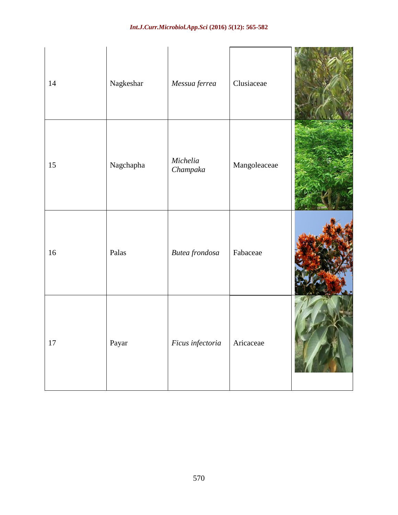| 14     | Nagkeshar | Messua ferrea        | Clusiaceae   |  |
|--------|-----------|----------------------|--------------|--|
| 15     | Nagchapha | Michelia<br>Champaka | Mangoleaceae |  |
| 16     | Palas     | Butea frondosa       | Fabaceae     |  |
| $17\,$ | Payar     | Ficus infectoria     | Aricaceae    |  |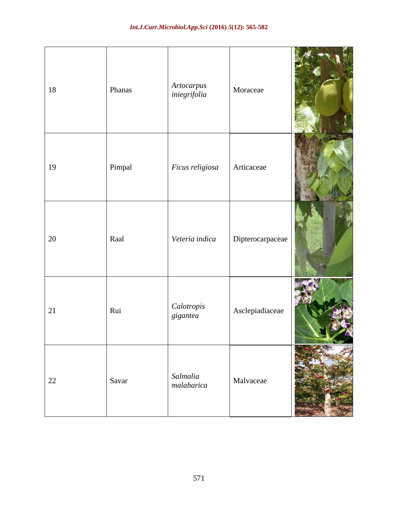| $18\,$ | Phanas | Artocarpus<br>iniegrifolia | Moraceae         |  |
|--------|--------|----------------------------|------------------|--|
| 19     | Pimpal | Ficus religiosa            | Articaceae       |  |
| $20\,$ | Raal   | Veteria indica             | Dipterocarpaceae |  |
| 21     | Rui    | Calotropis<br>gigantea     | Asclepiadiaceae  |  |
| 22     | Savar  | Salmalia<br>malabarica     | Malvaceae        |  |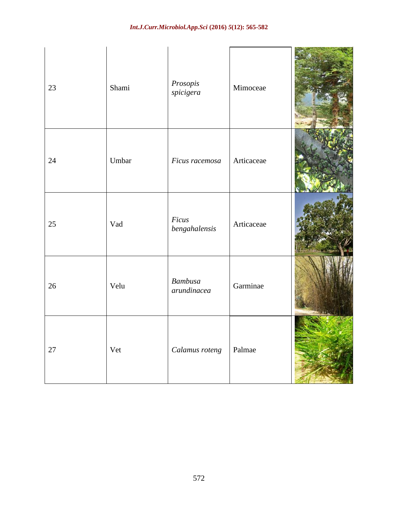| 23 | Shami | Prosopis<br>$\it spicigera$   | Mimoceae   |  |
|----|-------|-------------------------------|------------|--|
| 24 | Umbar | Ficus racemosa                | Articaceae |  |
| 25 | Vad   | Ficus<br>bengahalensis        | Articaceae |  |
| 26 | Velu  | <b>Bambusa</b><br>arundinacea | Garminae   |  |
| 27 | Vet   | Calamus roteng                | Palmae     |  |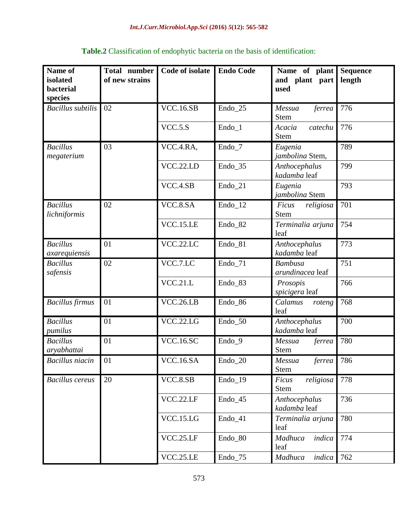| Name of<br>isolated<br>bacterial<br>species | Total number<br>of new strains | <b>Code of isolate</b> | <b>Endo Code</b>    | Name of plant<br>and plant<br>part<br>used | <b>Sequence</b><br>length |
|---------------------------------------------|--------------------------------|------------------------|---------------------|--------------------------------------------|---------------------------|
| <b>Bacillus</b> subtilis                    | 02                             | <b>VCC.16.SB</b>       | Endo_25             | Messua<br>ferrea<br><b>Stem</b>            | 776                       |
|                                             |                                | VCC.5.S                | Endo_1              | Acacia<br>catechu<br><b>Stem</b>           | 776                       |
| <b>Bacillus</b><br>megaterium               | 03                             | VCC.4.RA,              | Endo_7              | Eugenia<br>jambolina Stem,                 | 789                       |
|                                             |                                | VCC.22.LD              | Endo_35             | Anthocephalus<br>kadamba leaf              | 799                       |
|                                             |                                | VCC.4.SB               | Endo_21             | Eugenia<br>jambolina Stem                  | 793                       |
| <b>Bacillus</b><br>lichniformis             | 02                             | VCC.8.SA               | Endo_12             | religiosa<br>Ficus<br>Stem                 | 701                       |
|                                             |                                | VCC.15.LE              | Endo_82             | Terminalia arjuna<br>leaf                  | 754                       |
| <b>Bacillus</b><br>axarequiensis            | 01                             | VCC.22.LC              | Endo_81             | Anthocephalus<br>kadamba leaf              | 773                       |
| <b>Bacillus</b><br>safensis                 | 02                             | VCC.7.LC               | Endo_71             | <b>Bambusa</b><br>arundinacea leaf         | 751                       |
|                                             |                                | VCC.21.L               | Endo_83             | Prosopis<br>spicigera leaf                 | 766                       |
| <b>Bacillus</b> firmus                      | 01                             | VCC.26.LB              | Endo_86             | Calamus<br>roteng<br>leaf                  | 768                       |
| <b>Bacillus</b><br>pumilus                  | 01                             | <b>VCC.22.LG</b>       | Endo_50             | Anthocephalus<br>kadamba leaf              | 700                       |
| <b>Bacillus</b><br>aryabhattai              | 01                             | <b>VCC.16.SC</b>       | Endo_9              | Messua<br>ferrea<br><b>Stem</b>            | 780                       |
| Bacillus niacin                             | 01                             | <b>VCC.16.SA</b>       | Endo_20             | Messua<br>ferrea<br><b>Stem</b>            | 786                       |
| <b>Bacillus</b> cereus                      | 20                             | VCC.8.SB               | Endo_19             | religiosa<br>Ficus<br><b>Stem</b>          | 778                       |
|                                             |                                | VCC.22.LF              | Endo <sub>-45</sub> | Anthocephalus<br>kadamba leaf              | 736                       |
|                                             |                                | VCC.15.LG              | Endo <sub>_41</sub> | Terminalia arjuna<br>leaf                  | 780                       |
|                                             |                                | VCC.25.LF              | Endo_80             | Madhuca<br>indica<br>leaf                  | 774                       |
|                                             |                                | VCC.25.LE              | Endo_75             | Madhuca<br>indica                          | 762                       |

# **Table.2** Classification of endophytic bacteria on the basis of identification: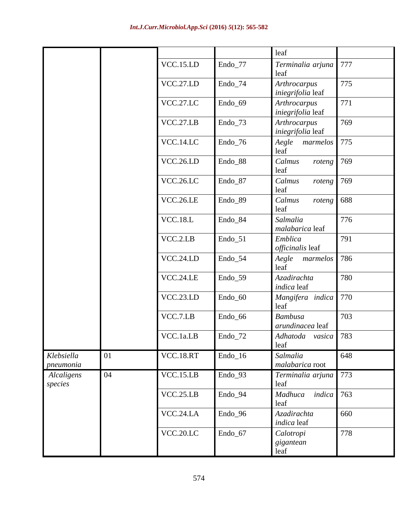|                         |    |                                |         | leaf                                     |     |
|-------------------------|----|--------------------------------|---------|------------------------------------------|-----|
|                         |    | VCC.15.LD                      | Endo_77 | Terminalia arjuna<br>leaf                | 777 |
|                         |    | VCC.27.LD                      | Endo_74 | <b>Arthrocarpus</b><br>iniegrifolia leaf | 775 |
|                         |    | VCC.27.LC                      | Endo_69 | <b>Arthrocarpus</b><br>iniegrifolia leaf | 771 |
|                         |    | VCC.27.LB                      | Endo_73 | Arthrocarpus<br>iniegrifolia leaf        | 769 |
|                         |    | VCC.14.LC                      | Endo_76 | Aegle<br>marmelos<br>leaf                | 775 |
|                         |    | VCC.26.LD                      | Endo_88 | Calmus<br>roteng<br>leaf                 | 769 |
|                         |    | VCC.26.LC                      | Endo_87 | Calmus<br>roteng<br>leaf                 | 769 |
|                         |    | VCC.26.LE                      | Endo_89 | Calmus<br>roteng<br>leaf                 | 688 |
|                         |    | <b>VCC.18.L</b>                | Endo_84 | Salmalia<br>malabarica leaf              | 776 |
|                         |    | VCC.2.LB                       | Endo_51 | Emblica<br><i>officinalis</i> leaf       | 791 |
|                         |    | VCC.24.LD                      | Endo_54 | Aegle<br>marmelos<br>leaf                | 786 |
|                         |    | VCC.24.LE                      | Endo_59 | Azadirachta<br>indica leaf               | 780 |
|                         |    | VCC.23.LD                      | Endo_60 | Mangifera indica<br>leaf                 | 770 |
|                         |    | VCC.7.LB                       | Endo_66 | <b>Bambusa</b><br>arundinacea leaf       | 703 |
|                         |    | VCC.1a.LB                      | Endo_72 | Adhatoda vasica<br>leaf                  | 783 |
| Klebsiella<br>pneumonia | 01 | $\overline{\text{V}}$ CC.18.RT | Endo_16 | Salmalia<br>malabarica root              | 648 |
| Alcaligens<br>species   | 04 | VCC.15.LB                      | Endo_93 | Terminalia arjuna<br>leaf                | 773 |
|                         |    | VCC.25.LB                      | Endo_94 | Madhuca<br>indica<br>leaf                | 763 |
|                         |    | VCC.24.LA                      | Endo_96 | Azadirachta<br><i>indica</i> leaf        | 660 |
|                         |    | VCC.20.LC                      | Endo_67 | Calotropi<br>gigantean<br>leaf           | 778 |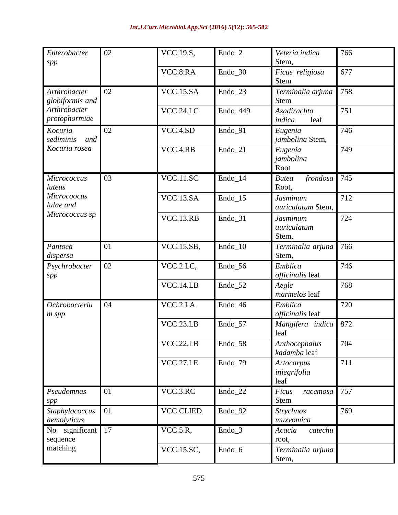| Enterobacter<br>spp             | 02 | VCC.19.S,         | Endo <sub>_2</sub>  | Veteria indica<br>Stem,                   | 766 |
|---------------------------------|----|-------------------|---------------------|-------------------------------------------|-----|
|                                 |    | VCC.8.RA          | Endo_30             | Ficus religiosa<br><b>Stem</b>            | 677 |
| Arthrobacter<br>globiformis and | 02 | <b>VCC.15.SA</b>  | Endo_23             | Terminalia arjuna<br><b>Stem</b>          | 758 |
| Arthrobacter<br>protophormiae   |    | VCC.24.LC         | Endo_449            | Azadirachta<br>indica<br>leaf             | 751 |
| Kocuria<br>sediminis<br>and     | 02 | VCC.4.SD          | Endo_91             | Eugenia<br>jambolina Stem,                | 746 |
| Kocuria rosea                   |    | VCC.4.RB          | Endo_21             | Eugenia<br>jambolina<br>Root              | 749 |
| Micrococcus<br>luteus           | 03 | VCC.11.SC         | Endo_14             | frondosa<br><b>Butea</b><br>Root,         | 745 |
| Microcoocus<br>lulae and        |    | VCC.13.SA         | Endo_15             | Jasminum<br><i>auriculatum</i> Stem,      | 712 |
| Micrococcus sp                  |    | <b>VCC.13.RB</b>  | Endo_31             | <b>Jasminum</b><br>auriculatum<br>Stem,   | 724 |
| Pantoea<br>dispersa             | 01 | <b>VCC.15.SB,</b> | Endo_10             | Terminalia arjuna<br>Stem,                | 766 |
| Psychrobacter<br>spp            | 02 | VCC.2.LC,         | Endo_56             | Emblica<br><i>officinalis</i> leaf        | 746 |
|                                 |    | VCC.14.LB         | Endo_52             | Aegle<br>marmelos leaf                    | 768 |
| Ochrobacteriu<br>m spp          | 04 | VCC.2.LA          | Endo <sub>_46</sub> | Emblica<br><i>officinalis</i> leaf        | 720 |
|                                 |    | VCC.23.LB         | Endo_57             | Mangifera indica<br>leaf                  | 872 |
|                                 |    | VCC.22.LB         | Endo_58             | Anthocephalus<br>kadamba leaf             | 704 |
|                                 |    | VCC.27.LE         | Endo_79             | <b>Artocarpus</b><br>iniegrifolia<br>leaf | 711 |
| Pseudomnas<br>spp               | 01 | VCC.3.RC          | Endo_22             | Ficus<br>racemosa<br><b>Stem</b>          | 757 |
| Staphylococcus<br>hemolyticus   | 01 | <b>VCC.CLIED</b>  | Endo_92             | <b>Strychnos</b><br>muxvomica             | 769 |
| No significant<br>sequence      | 17 | VCC.5.R,          | Endo <sub>_3</sub>  | Acacia<br>catechu<br>root,                |     |
| matching                        |    | <b>VCC.15.SC,</b> | Endo <sub>_6</sub>  | Terminalia arjuna<br>Stem,                |     |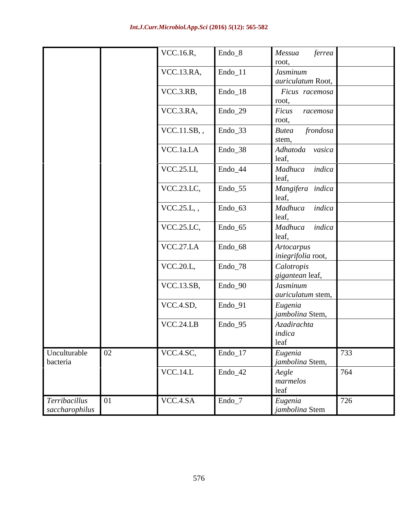|                                        |    | VCC.16.R,         | Endo_8              | Messua<br>ferrea<br>root,               |     |
|----------------------------------------|----|-------------------|---------------------|-----------------------------------------|-----|
|                                        |    | <b>VCC.13.RA,</b> | Endo_11             | <b>Jasminum</b><br>auriculatum Root,    |     |
|                                        |    | VCC.3.RB,         | Endo_18             | Ficus racemosa<br>root,                 |     |
|                                        |    | VCC.3.RA,         | Endo_29             | Ficus<br>racemosa<br>root,              |     |
|                                        |    | VCC.11.SB,,       | Endo_33             | frondosa<br><b>Butea</b><br>stem,       |     |
|                                        |    | VCC.1a.LA         | Endo_38             | Adhatoda<br>vasica<br>leaf,             |     |
|                                        |    | <b>VCC.25.LI,</b> | Endo_44             | Madhuca<br>indica<br>leaf,              |     |
|                                        |    | <b>VCC.23.LC,</b> | Endo_55             | Mangifera indica<br>leaf,               |     |
|                                        |    | VCC.25.L.,        | Endo_63             | Madhuca<br>indica<br>leaf,              |     |
|                                        |    | VCC.25.LC,        | Endo_65             | Madhuca<br>indica<br>leaf,              |     |
|                                        |    | VCC.27.LA         | Endo_68             | <b>Artocarpus</b><br>iniegrifolia root, |     |
|                                        |    | VCC.20.L,         | Endo <sub>_78</sub> | Calotropis<br>gigantean leaf,           |     |
|                                        |    | <b>VCC.13.SB,</b> | Endo_90             | <b>Jasminum</b><br>auriculatum stem,    |     |
|                                        |    | VCC.4.SD,         | Endo_91             | Eugenia<br>jambolina Stem,              |     |
|                                        |    | VCC.24.LB         | Endo_95             | Azadirachta<br>indica<br>leaf           |     |
| Unculturable<br>bacteria               | 02 | VCC.4.SC,         | Endo_17             | Eugenia<br>jambolina Stem,              | 733 |
|                                        |    | <b>VCC.14.L</b>   | Endo <sub>_42</sub> | Aegle<br>marmelos<br>leaf               | 764 |
| <b>Terribacillus</b><br>saccharophilus | 01 | VCC.4.SA          | Endo_7              | Eugenia<br>jambolina Stem               | 726 |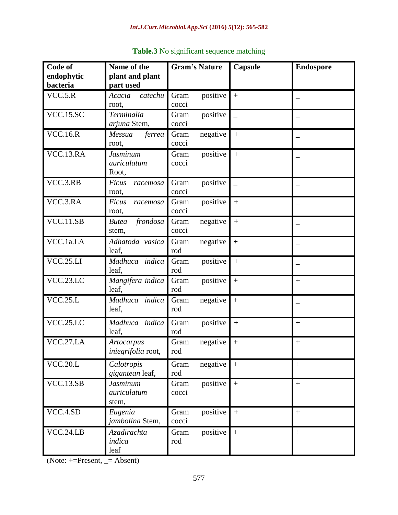| Code of<br>endophytic | Name of the<br>plant and plant          | <b>Gram's Nature</b>      | <b>Capsule</b>   | <b>Endospore</b> |  |
|-----------------------|-----------------------------------------|---------------------------|------------------|------------------|--|
| bacteria              | part used                               |                           |                  |                  |  |
| $VCC.5.\overline{R}$  | Acacia<br>catechu<br>root,              | Gram<br>positive<br>cocci | $+$              |                  |  |
| <b>VCC.15.SC</b>      | Terminalia<br>arjuna Stem,              | Gram<br>positive<br>cocci | $\overline{a}$   |                  |  |
| <b>VCC.16.R</b>       | ferrea<br>Messua<br>root,               | Gram<br>negative<br>cocci | $\pm$            |                  |  |
| VCC.13.RA             | <b>Jasminum</b><br>auriculatum<br>Root, | positive<br>Gram<br>cocci | $+$              |                  |  |
| VCC.3.RB              | Ficus<br>racemosa<br>root,              | Gram<br>positive<br>cocci |                  |                  |  |
| VCC.3.RA              | Ficus<br>racemosa<br>root,              | Gram<br>positive<br>cocci | $\boldsymbol{+}$ |                  |  |
| VCC.11.SB             | frondosa<br><b>Butea</b><br>stem,       | Gram<br>negative<br>cocci | $\boldsymbol{+}$ |                  |  |
| VCC.1a.LA             | Adhatoda vasica<br>leaf,                | Gram<br>negative<br>rod   | $^{+}$           |                  |  |
| VCC.25.LI             | Madhuca indica<br>leaf,                 | Gram<br>positive<br>rod   | $\boldsymbol{+}$ |                  |  |
| VCC.23.LC             | Mangifera indica<br>leaf,               | Gram<br>positive<br>rod   | $^{+}$           | $+$              |  |
| VCC.25.L              | Madhuca indica<br>leaf,                 | Gram<br>negative<br>rod   | $^{+}$           |                  |  |
| VCC.25.LC             | Madhuca indica<br>leaf,                 | Gram<br>positive<br>rod   | $\boldsymbol{+}$ | $+$              |  |
| VCC.27.LA             | <b>Artocarpus</b><br>iniegrifolia root, | Gram<br>negative<br>rod   | $\boldsymbol{+}$ | $+$              |  |
| VCC.20.L              | Calotropis<br>gigantean leaf,           | negative<br>Gram<br>rod   | $\,+\,$          | $\boldsymbol{+}$ |  |
| VCC.13.SB             | <b>Jasminum</b><br>auriculatum<br>stem, | Gram<br>positive<br>cocci | $\, +$           | $\boldsymbol{+}$ |  |
| VCC.4.SD              | Eugenia<br>jambolina Stem,              | Gram<br>positive<br>cocci | $\pm$            | $+$              |  |
| VCC.24.LB             | Azadirachta<br>indica<br>leaf           | positive<br>Gram<br>rod   | $+$              | $\boldsymbol{+}$ |  |

| Table.3 No significant sequence matching |  |  |  |  |
|------------------------------------------|--|--|--|--|
|                                          |  |  |  |  |

(Note: +=Present, \_= Absent)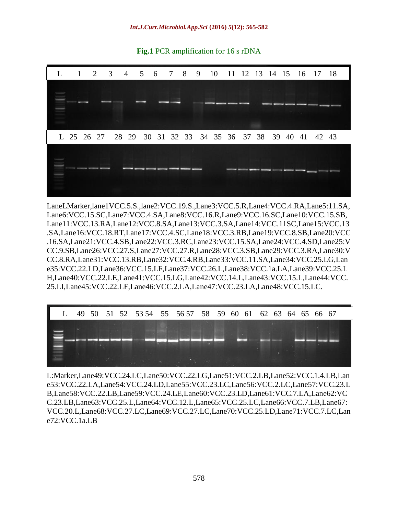**Fig.1** PCR amplification for 16 s rDNA



LaneLMarker,lane1VCC.5.S.,lane2:VCC.19.S.,Lane3:VCC.5.R,Lane4:VCC.4.RA,Lane5:11.SA, Lane6:VCC.15.SC,Lane7:VCC.4.SA,Lane8:VCC.16.R,Lane9:VCC.16.SC,Lane10:VCC.15.SB, Lane11:VCC.13.RA,Lane12:VCC.8.SA,Lane13:VCC.3.SA,Lane14:VCC.11SC,Lane15:VCC.13 .SA,Lane16:VCC.18.RT,Lane17:VCC.4.SC,Lane18:VCC.3.RB,Lane19:VCC.8.SB,Lane20:VCC .16.SA,Lane21:VCC.4.SB,Lane22:VCC.3.RC,Lane23:VCC.15.SA,Lane24:VCC.4.SD,Lane25:V CC.9.SB,Lane26:VCC.27.S,Lane27:VCC.27.R,Lane28:VCC.3.SB,Lane29:VCC.3.RA,Lane30:V CC.8.RA,Lane31:VCC.13.RB,Lane32:VCC.4.RB,Lane33:VCC.11.SA,Lane34:VCC.25.LG,Lan e35:VCC.22.LD,Lane36:VCC.15.LF,Lane37:VCC.26.L,Lane38:VCC.1a.LA,Lane39:VCC.25.L H,Lane40:VCC.22.LE,Lane41:VCC.15.LG,Lane42:VCC.14.L,Lane43:VCC.15.L,Lane44:VCC. 25.LI,Lane45:VCC.22.LF,Lane46:VCC.2.LA,Lane47:VCC.23.LA,Lane48:VCC.15.LC.



L:Marker,Lane49:VCC.24.LC,Lane50:VCC.22.LG,Lane51:VCC.2.LB,Lane52:VCC.1.4.LB,Lan e53:VCC.22.LA,Lane54:VCC.24.LD,Lane55:VCC.23.LC,Lane56:VCC.2.LC,Lane57:VCC.23.L B,Lane58:VCC.22.LB,Lane59:VCC.24.LE,Lane60:VCC.23.LD,Lane61:VCC.7.LA,Lane62:VC C.23.LB,Lane63:VCC.25.L,Lane64:VCC.12.L,Lane65:VCC.25.LC,Lane66:VCC.7.LB,Lane67: VCC.20.L,Lane68:VCC.27.LC,Lane69:VCC.27.LC,Lane70:VCC.25.LD,Lane71:VCC.7.LC,Lan e72:VCC.1a.LB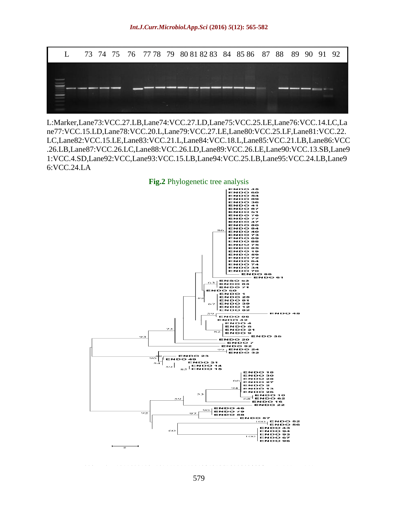

L:Marker,Lane73:VCC.27.LB,Lane74:VCC.27.LD,Lane75:VCC.25.LE,Lane76:VCC.14.LC,La ne77:VCC.15.LD,Lane78:VCC.20.L,Lane79:VCC.27.LE,Lane80:VCC.25.LF,Lane81:VCC.22. LC,Lane82:VCC.15.LE,Lane83:VCC.21.L,Lane84:VCC.18.L,Lane85:VCC.21.LB,Lane86:VCC .26.LB,Lane87:VCC.26.LC,Lane88:VCC.26.LD,Lane89:VCC.26.LE,Lane90:VCC.13.SB,Lane9 1:VCC.4.SD,Lane92:VCC,Lane93:VCC.15.LB,Lane94:VCC.25.LB,Lane95:VCC.24.LB,Lane9 6:VCC.24.LA

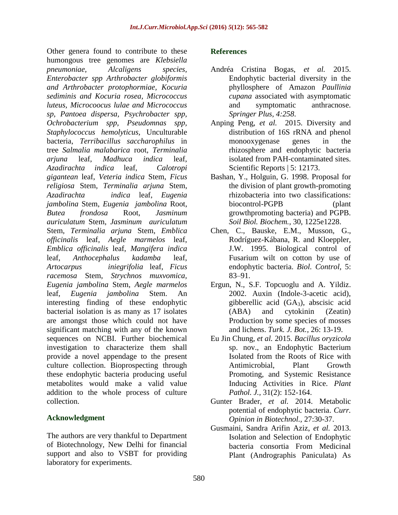Other genera found to contribute to these humongous tree genomes are *Klebsiella pneumoniae, Alcaligens species, Enterobacter spp Arthrobacter globiformis and Arthrobacter protophormiae, Kocuria sediminis and Kocuria rosea, Micrococcus luteus, Microcoocus lulae and Micrococcus sp, Pantoea dispersa, Psychrobacter spp, Ochrobacterium spp, Pseudomnas spp, Staphylococcus hemolyticus,* Unculturable bacteria, *Terribacillus saccharophilus* in tree *Salmalia malabarica* root, *Terminalia arjuna* leaf, *Madhuca indica* leaf, *Azadirachta indica* leaf, *Calotropi gigantean* leaf, *Veteria indica* Stem, *Ficus religiosa* Stem, *Terminalia arjuna* Stem, *Azadirachta indica* leaf, *Eugenia jambolina* Stem, *Eugenia jambolina* Root, *Butea frondosa* Root, *Jasminum auriculatum* Stem, *Jasminum auriculatum* Stem, *Terminalia arjuna* Stem, *Emblica officinalis* leaf, *Aegle marmelos* leaf, *Emblica officinalis* leaf, *Mangifera indica* leaf, *Anthocephalus kadamba* leaf, *Artocarpus iniegrifolia* leaf, *Ficus racemosa* Stem, *Strychnos muxvomica, Eugenia jambolina* Stem, *Aegle marmelos* leaf, *Eugenia jambolina* Stem. An interesting finding of these endophytic bacterial isolation is as many as 17 isolates are amongst those which could not have significant matching with any of the known sequences on NCBI. Further biochemical investigation to characterize them shall provide a novel appendage to the present culture collection. Bioprospecting through these endophytic bacteria producing useful metabolites would make a valid value addition to the whole process of culture collection.

# **Acknowledgment**

The authors are very thankful to Department of Biotechnology, New Delhi for financial support and also to VSBT for providing laboratory for experiments.

## **References**

- Andréa Cristina Bogas, *et al.* 2015. Endophytic bacterial diversity in the phyllosphere of Amazon *Paullinia cupana* associated with asymptomatic and symptomatic anthracnose. *Springer Plus, 4:258*.
- Anping Peng, *et al.* 2015. Diversity and distribution of 16S rRNA and phenol monooxygenase genes in the rhizosphere and endophytic bacteria isolated from PAH-contaminated sites. Scientific Reports | 5: 12173.
- Bashan, Y., Holguin, G. 1998. Proposal for the division of plant growth-promoting rhizobacteria into two classifications: biocontrol-PGPB (plant growthpromoting bacteria) and PGPB. *Soil Biol. Biochem.,* 30, 1225e1228.
- Chen, C., Bauske, E.M., Musson, G., Rodríguez-Kábana, R. and Kloeppler, J.W. 1995. Biological control of Fusarium wilt on cotton by use of endophytic bacteria. *Biol. Control*, 5: 83–91.
- Ergun, N., S.F. Topcuoglu and A. Yildiz. 2002. Auxin (Indole-3-acetic acid), gibberellic acid  $(GA_3)$ , abscisic acid (ABA) and cytokinin (Zeatin) Production by some species of mosses and lichens. *Turk. J. Bot.,* 26: 13-19.
- Eu Jin Chung, *et al.* 2015. *Bacillus oryzicola*  sp. nov., an Endophytic Bacterium Isolated from the Roots of Rice with Antimicrobial, Plant Growth Promoting, and Systemic Resistance Inducing Activities in Rice. *Plant Pathol. J.,* 31(2): 152-164.
- Gunter Brader, *et al.* 2014. Metabolic potential of endophytic bacteria. *Curr. Opinion in Biotechnol.,* 27:30-37.
- Gusmaini, Sandra Arifin Aziz, *et al.* 2013. Isolation and Selection of Endophytic bacteria consortia From Medicinal Plant (Andrographis Paniculata) As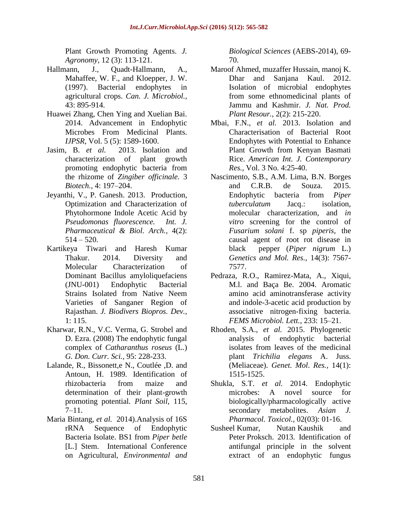Plant Growth Promoting Agents. *J. Agronomy,* 12 (3): 113-121.

- Hallmann, J., Quadt-Hallmann, A., Mahaffee, W. F., and Kloepper, J. W. (1997). Bacterial endophytes in agricultural crops. *Can. J. Microbiol.,* 43: 895-914.
- Huawei Zhang, Chen Ying and Xuelian Bai. 2014. Advancement in Endophytic Microbes From Medicinal Plants. *IJPSR,* Vol. 5 (5): 1589-1600.
- Jasim, B. *et al.* 2013. Isolation and characterization of plant growth promoting endophytic bacteria from the rhizome of *Zingiber officinale.* 3 *Biotech.,* 4: 197–204.
- Jeyanthi, V., P. Ganesh. 2013. Production, Optimization and Characterization of Phytohormone Indole Acetic Acid by *Pseudomonas fluorescence. Int. J. Pharmaceutical & Biol. Arch.,* 4(2):  $514 - 520.$
- Kartikeya Tiwari and Haresh Kumar Thakur. 2014. Diversity and Molecular Characterization of Dominant Bacillus amyloliquefaciens (JNU-001) Endophytic Bacterial Strains Isolated from Native Neem Varieties of Sanganer Region of Rajasthan. *J. Biodivers Biopros. Dev.,* 1: 115.
- Kharwar, R.N., V.C. Verma, G. Strobel and D. Ezra. (2008) The endophytic fungal complex of *Catharanthus roseus* (L.) *G. Don. Curr. Sci.,* 95: 228-233.
- Lalande, R., Bissonett,e N., Coutlée ,D. and Antoun, H. 1989. Identification of rhizobacteria from maize and determination of their plant-growth promoting potential*. Plant Soil*, 115,  $7-11.$
- Maria Bintang, *et al.* 2014).Analysis of 16S rRNA Sequence of Endophytic Bacteria Isolate. BS1 from *Piper betle*  [L.] Stem. International Conference on Agricultural, *Environmental and*

*Biological Sciences* (AEBS-2014), 69- 70.

- Maroof Ahmed, muzaffer Hussain, manoj K. Dhar and Sanjana Kaul. 2012. Isolation of microbial endophytes from some ethnomedicinal plants of Jammu and Kashmir. *J. Nat. Prod. Plant Resour.*, 2(2): 215-220.
- Mbai, F.N., *et al.* 2013. Isolation and Characterisation of Bacterial Root Endophytes with Potential to Enhance Plant Growth from Kenyan Basmati Rice. *American Int. J. Contemporary Res.,* Vol. 3 No. 4:25-40.
- Nascimento, S.B., A.M. Lima, B.N. Borges and C.R.B. de Souza. 2015. Endophytic bacteria from *Piper tuberculatum* Jacq.: isolation, molecular characterization, and *in vitro* screening for the control of *Fusarium solani* f. sp *piperis*, the causal agent of root rot disease in black pepper (*Piper nigrum* L.) *Genetics and Mol. Res.,* 14(3): 7567- 7577.
- Pedraza, R.O., Ramirez-Mata, A., Xiqui, M.l. and Baça Be. 2004. Aromatic amino acid aminotransferase activity and indole-3-acetic acid production by associative nitrogen-fixing bacteria. *FEMS Microbiol. Lett.,* 233: 15–21.
- Rhoden, S.A., *et al.* 2015. Phylogenetic analysis of endophytic bacterial isolates from leaves of the medicinal plant *Trichilia elegans* A. Juss. (Meliaceae). *Genet. Mol. Res.,* 14(1): 1515-1525.
- Shukla, S.T. *et al.* 2014. Endophytic microbes: A novel source for biologically/pharmacologically active secondary metabolites. *Asian J. Pharmacol. Toxicol.,* 02(03): 01-16.
- Susheel Kumar, Nutan Kaushik and Peter Proksch. 2013. Identification of antifungal principle in the solvent extract of an endophytic fungus